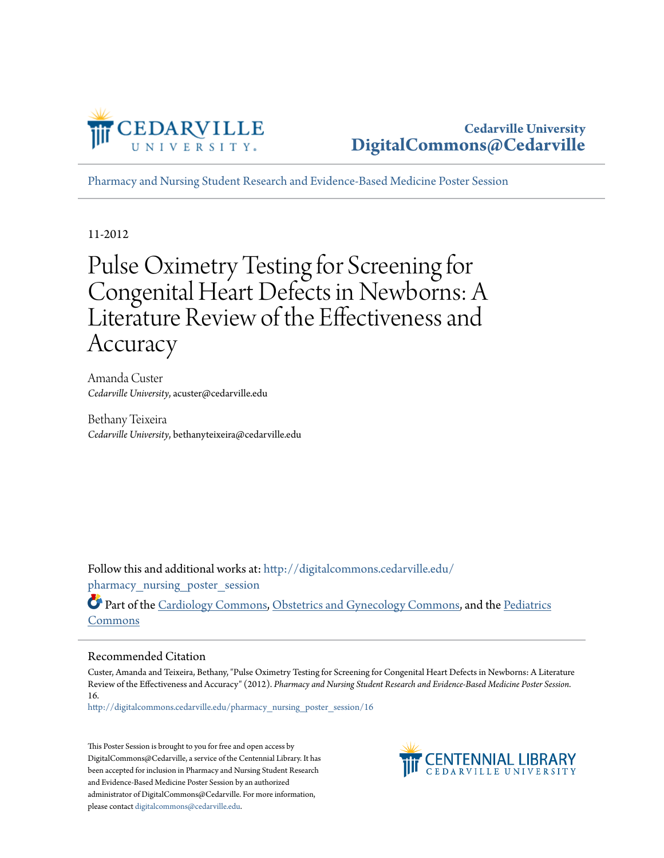

[Pharmacy and Nursing Student Research and Evidence-Based Medicine Poster Session](http://digitalcommons.cedarville.edu/pharmacy_nursing_poster_session?utm_source=digitalcommons.cedarville.edu%2Fpharmacy_nursing_poster_session%2F16&utm_medium=PDF&utm_campaign=PDFCoverPages)

11-2012

#### Pulse Oximetry Testing for Screening for Congenital Heart Defects in Newborns: A Literature Review of the Effectiveness and Accuracy

Amanda Custer *Cedarville University*, acuster@cedarville.edu

Bethany Teixeira *Cedarville University*, bethanyteixeira@cedarville.edu

Follow this and additional works at: [http://digitalcommons.cedarville.edu/](http://digitalcommons.cedarville.edu/pharmacy_nursing_poster_session?utm_source=digitalcommons.cedarville.edu%2Fpharmacy_nursing_poster_session%2F16&utm_medium=PDF&utm_campaign=PDFCoverPages) pharmacy nursing poster session

Part of the [Cardiology Commons](http://network.bepress.com/hgg/discipline/683?utm_source=digitalcommons.cedarville.edu%2Fpharmacy_nursing_poster_session%2F16&utm_medium=PDF&utm_campaign=PDFCoverPages), [Obstetrics and Gynecology Commons,](http://network.bepress.com/hgg/discipline/693?utm_source=digitalcommons.cedarville.edu%2Fpharmacy_nursing_poster_session%2F16&utm_medium=PDF&utm_campaign=PDFCoverPages) and the [Pediatrics](http://network.bepress.com/hgg/discipline/700?utm_source=digitalcommons.cedarville.edu%2Fpharmacy_nursing_poster_session%2F16&utm_medium=PDF&utm_campaign=PDFCoverPages) [Commons](http://network.bepress.com/hgg/discipline/700?utm_source=digitalcommons.cedarville.edu%2Fpharmacy_nursing_poster_session%2F16&utm_medium=PDF&utm_campaign=PDFCoverPages)

#### Recommended Citation

Custer, Amanda and Teixeira, Bethany, "Pulse Oximetry Testing for Screening for Congenital Heart Defects in Newborns: A Literature Review of the Effectiveness and Accuracy" (2012). *Pharmacy and Nursing Student Research and Evidence-Based Medicine Poster Session*. 16.

[http://digitalcommons.cedarville.edu/pharmacy\\_nursing\\_poster\\_session/16](http://digitalcommons.cedarville.edu/pharmacy_nursing_poster_session/16?utm_source=digitalcommons.cedarville.edu%2Fpharmacy_nursing_poster_session%2F16&utm_medium=PDF&utm_campaign=PDFCoverPages)

This Poster Session is brought to you for free and open access by DigitalCommons@Cedarville, a service of the Centennial Library. It has been accepted for inclusion in Pharmacy and Nursing Student Research and Evidence-Based Medicine Poster Session by an authorized administrator of DigitalCommons@Cedarville. For more information, please contact [digitalcommons@cedarville.edu.](mailto:digitalcommons@cedarville.edu)